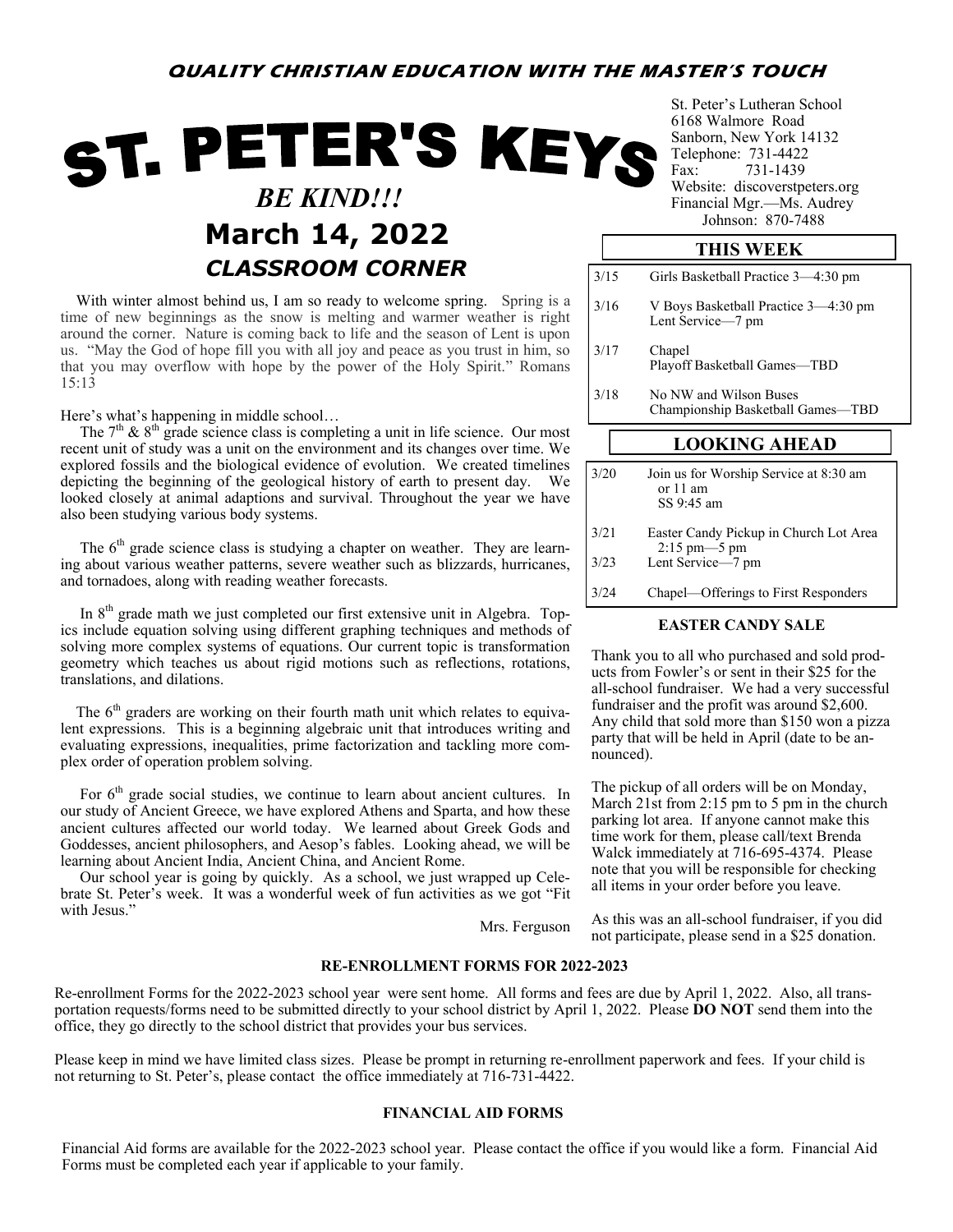# ST. PETER'S KEYS  *BE KIND!!!* **March 14, 2022** *Johnson: 870-7488 CLASSROOM CORNER*

With winter almost behind us, I am so ready to welcome spring. Spring is a time of new beginnings as the snow is melting and warmer weather is right around the corner. Nature is coming back to life and the season of Lent is upon us. "May the God of hope fill you with all joy and peace as you trust in him, so that you may overflow with hope by the power of the Holy Spirit." Romans 15:13

Here's what's happening in middle school…

The  $7<sup>th</sup>$  &  $8<sup>th</sup>$  grade science class is completing a unit in life science. Our most recent unit of study was a unit on the environment and its changes over time. We explored fossils and the biological evidence of evolution. We created timelines depicting the beginning of the geological history of earth to present day. We looked closely at animal adaptions and survival. Throughout the year we have also been studying various body systems.

The  $6<sup>th</sup>$  grade science class is studying a chapter on weather. They are learning about various weather patterns, severe weather such as blizzards, hurricanes, and tornadoes, along with reading weather forecasts.

In  $8<sup>th</sup>$  grade math we just completed our first extensive unit in Algebra. Topics include equation solving using different graphing techniques and methods of solving more complex systems of equations. Our current topic is transformation geometry which teaches us about rigid motions such as reflections, rotations, translations, and dilations.

The  $6<sup>th</sup>$  graders are working on their fourth math unit which relates to equivalent expressions. This is a beginning algebraic unit that introduces writing and evaluating expressions, inequalities, prime factorization and tackling more complex order of operation problem solving.

For 6<sup>th</sup> grade social studies, we continue to learn about ancient cultures. In our study of Ancient Greece, we have explored Athens and Sparta, and how these ancient cultures affected our world today. We learned about Greek Gods and Goddesses, ancient philosophers, and Aesop's fables. Looking ahead, we will be learning about Ancient India, Ancient China, and Ancient Rome.

 Our school year is going by quickly. As a school, we just wrapped up Celebrate St. Peter's week. It was a wonderful week of fun activities as we got "Fit with Jesus."

St. Peter's Lutheran School 6168 Walmore Road Sanborn, New York 14132 Telephone: 731-4422 Fax: 731-1439 Website: discoverstpeters.org Financial Mgr.—Ms. Audrey

### **THIS WEEK**

| 3/15 | Girls Basketball Practice 3-4:30 pm                                        |  |  |  |
|------|----------------------------------------------------------------------------|--|--|--|
| 3/16 | V Boys Basketball Practice 3—4:30 pm<br>Lent Service—7 pm                  |  |  |  |
| 3/17 | Chapel<br>Playoff Basketball Games-TBD                                     |  |  |  |
| 3/18 | No NW and Wilson Buses<br>Championship Basketball Games—TBD                |  |  |  |
|      |                                                                            |  |  |  |
|      | <b>LOOKING AHEAD</b>                                                       |  |  |  |
| 3/20 | Join us for Worship Service at 8:30 am<br>or $11 \text{ am}$<br>SS 9:45 am |  |  |  |
| 3/21 | Easter Candy Pickup in Church Lot Area<br>$2:15 \text{ pm} - 5 \text{ pm}$ |  |  |  |

## 3/24 Chapel—Offerings to First Responders

#### **EASTER CANDY SALE**

Thank you to all who purchased and sold products from Fowler's or sent in their \$25 for the all-school fundraiser. We had a very successful fundraiser and the profit was around \$2,600. Any child that sold more than \$150 won a pizza party that will be held in April (date to be announced).

The pickup of all orders will be on Monday, March 21st from 2:15 pm to 5 pm in the church parking lot area. If anyone cannot make this time work for them, please call/text Brenda Walck immediately at 716-695-4374. Please note that you will be responsible for checking all items in your order before you leave.

As this was an all-school fundraiser, if you did not participate, please send in a \$25 donation.

#### **RE-ENROLLMENT FORMS FOR 2022-2023**

Mrs. Ferguson

Re-enrollment Forms for the 2022-2023 school year were sent home. All forms and fees are due by April 1, 2022. Also, all transportation requests/forms need to be submitted directly to your school district by April 1, 2022. Please **DO NOT** send them into the office, they go directly to the school district that provides your bus services.

Please keep in mind we have limited class sizes. Please be prompt in returning re-enrollment paperwork and fees. If your child is not returning to St. Peter's, please contact the office immediately at 716-731-4422.

#### **FINANCIAL AID FORMS**

Financial Aid forms are available for the 2022-2023 school year. Please contact the office if you would like a form. Financial Aid Forms must be completed each year if applicable to your family.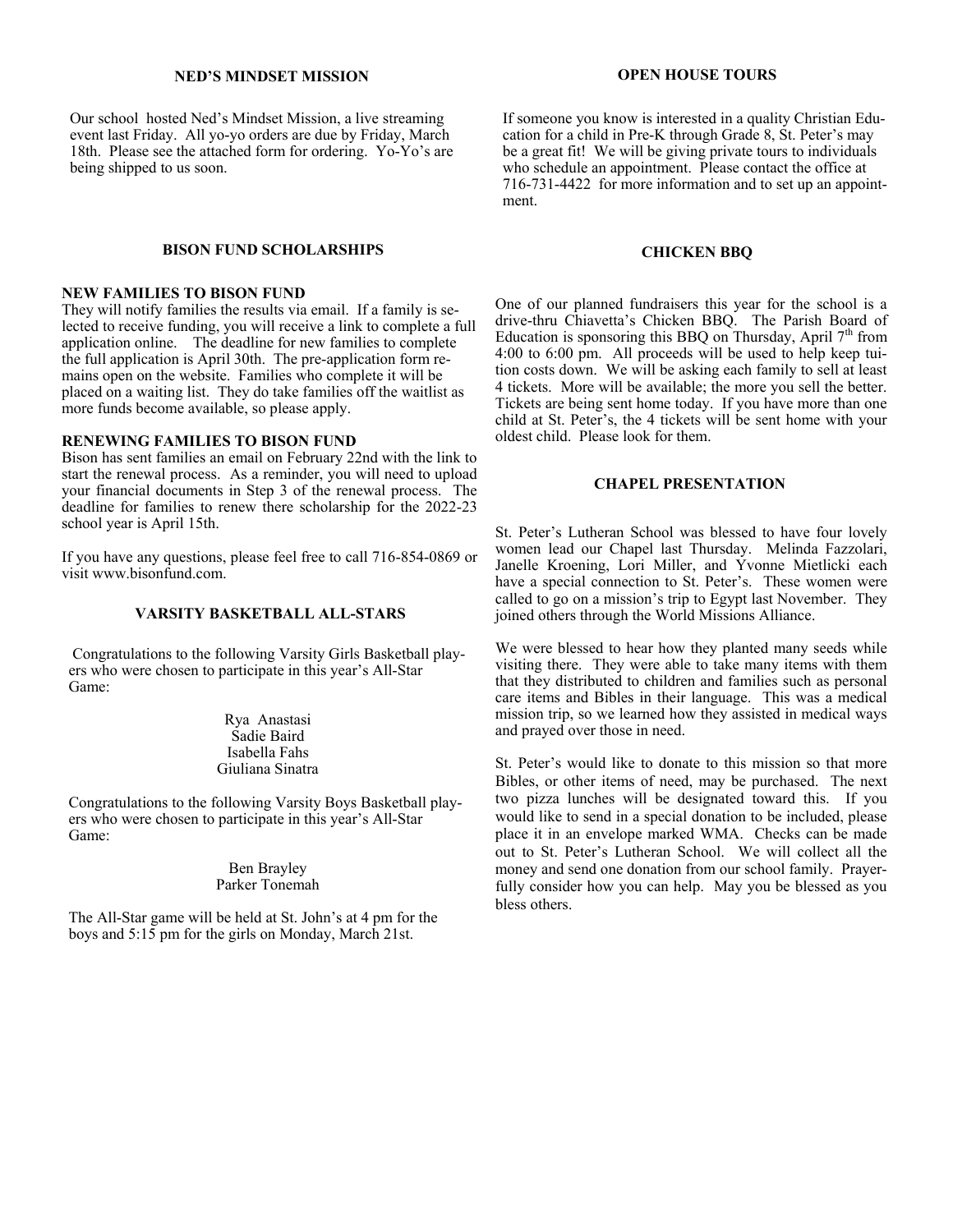#### **NED'S MINDSET MISSION**

Our school hosted Ned's Mindset Mission, a live streaming event last Friday. All yo-yo orders are due by Friday, March 18th. Please see the attached form for ordering. Yo-Yo's are being shipped to us soon.

#### **BISON FUND SCHOLARSHIPS**

#### **NEW FAMILIES TO BISON FUND**

They will notify families the results via email. If a family is selected to receive funding, you will receive a link to complete a full application online. The deadline for new families to complete the full application is April 30th. The pre-application form remains open on the website. Families who complete it will be placed on a waiting list. They do take families off the waitlist as more funds become available, so please apply.

#### **RENEWING FAMILIES TO BISON FUND**

Bison has sent families an email on February 22nd with the link to start the renewal process. As a reminder, you will need to upload your financial documents in Step 3 of the renewal process. The deadline for families to renew there scholarship for the 2022-23 school year is April 15th.

If you have any questions, please feel free to call 716-854-0869 or visit www.bisonfund.com.

#### **VARSITY BASKETBALL ALL-STARS**

Congratulations to the following Varsity Girls Basketball players who were chosen to participate in this year's All-Star Game:

> Rya Anastasi Sadie Baird Isabella Fahs Giuliana Sinatra

Congratulations to the following Varsity Boys Basketball players who were chosen to participate in this year's All-Star Game:

#### Ben Brayley Parker Tonemah

The All-Star game will be held at St. John's at 4 pm for the boys and 5:15 pm for the girls on Monday, March 21st.

#### **OPEN HOUSE TOURS**

If someone you know is interested in a quality Christian Education for a child in Pre-K through Grade 8, St. Peter's may be a great fit! We will be giving private tours to individuals who schedule an appointment. Please contact the office at 716-731-4422 for more information and to set up an appointment.

#### **CHICKEN BBQ**

One of our planned fundraisers this year for the school is a drive-thru Chiavetta's Chicken BBQ. The Parish Board of Education is sponsoring this BBQ on Thursday, April  $7<sup>th</sup>$  from 4:00 to 6:00 pm. All proceeds will be used to help keep tuition costs down. We will be asking each family to sell at least 4 tickets. More will be available; the more you sell the better. Tickets are being sent home today. If you have more than one child at St. Peter's, the 4 tickets will be sent home with your oldest child. Please look for them.

#### **CHAPEL PRESENTATION**

St. Peter's Lutheran School was blessed to have four lovely women lead our Chapel last Thursday. Melinda Fazzolari, Janelle Kroening, Lori Miller, and Yvonne Mietlicki each have a special connection to St. Peter's. These women were called to go on a mission's trip to Egypt last November. They joined others through the World Missions Alliance.

We were blessed to hear how they planted many seeds while visiting there. They were able to take many items with them that they distributed to children and families such as personal care items and Bibles in their language. This was a medical mission trip, so we learned how they assisted in medical ways and prayed over those in need.

St. Peter's would like to donate to this mission so that more Bibles, or other items of need, may be purchased. The next two pizza lunches will be designated toward this. If you would like to send in a special donation to be included, please place it in an envelope marked WMA. Checks can be made out to St. Peter's Lutheran School. We will collect all the money and send one donation from our school family. Prayerfully consider how you can help. May you be blessed as you bless others.